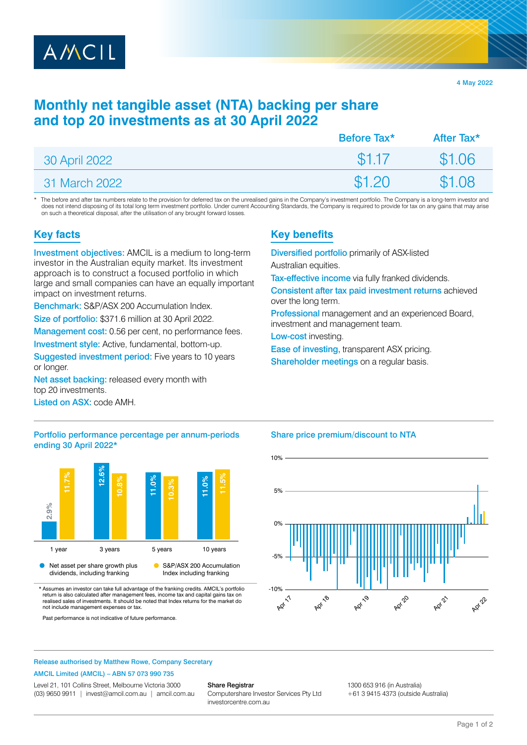

4 May 2022

# **Monthly net tangible asset (NTA) backing per share and top 20 investments as at 30 April 2022**

|               | Before Tax <sup>*</sup> | After Tax* |
|---------------|-------------------------|------------|
| 30 April 2022 | \$1.17                  | \$1.06     |
| 31 March 2022 | \$1.20                  | \$1.08     |

The before and after tax numbers relate to the provision for deferred tax on the unrealised gains in the Company's investment portfolio. The Company is a long-term investor and does not intend disposing of its total long term investment portfolio. Under current Accounting Standards, the Company is required to provide for tax on any gains that may arise on such a theoretical disposal, after the utilisation of any brought forward losses.

## **Key facts**

Investment objectives: AMCIL is a medium to long-term investor in the Australian equity market. Its investment approach is to construct a focused portfolio in which large and small companies can have an equally important impact on investment returns.

Benchmark: S&P/ASX 200 Accumulation Index.

Size of portfolio: \$371.6 million at 30 April 2022.

Management cost: 0.56 per cent, no performance fees.

Investment style: Active, fundamental, bottom-up.

Suggested investment period: Five years to 10 years or longer.

Net asset backing: released every month with top 20 investments.

Listed on ASX: code AMH.

### Portfolio performance percentage per annum-periods ending 30 April 2022\*



\* Assumes an investor can take full advantage of the franking credits. AMCIL's portfolio return is also calculated after management fees, income tax and capital gains realised sales of investments. It should be noted that Index returns for the market do not include management expenses or tax.

Past performance is not indicative of future performance.

## **Key benefits**

Diversified portfolio primarily of ASX-listed

Australian equities.

Tax-effective income via fully franked dividends.

Consistent after tax paid investment returns achieved over the long term.

Professional management and an experienced Board, investment and management team.

Low-cost investing.

Ease of investing, transparent ASX pricing.

Shareholder meetings on a regular basis.

### Share price premium/discount to NTA



Release authorised by Matthew Rowe, Company Secretary

#### AMCIL Limited (AMCIL) – ABN 57 073 990 735

Level 21, 101 Collins Street, Melbourne Victoria 3000 (03) 9650 9911 | [invest@amcil.com.au](mailto:invest@amcil.com.au) | [amcil.com.au](http://amcil.com.au)

#### Share Registrar

Computershare Investor Services Pty Ltd [investorcentre.com.au](http://investorcentre.com.au)

1300 653 916 (in Australia)

+61 3 9415 4373 (outside Australia)